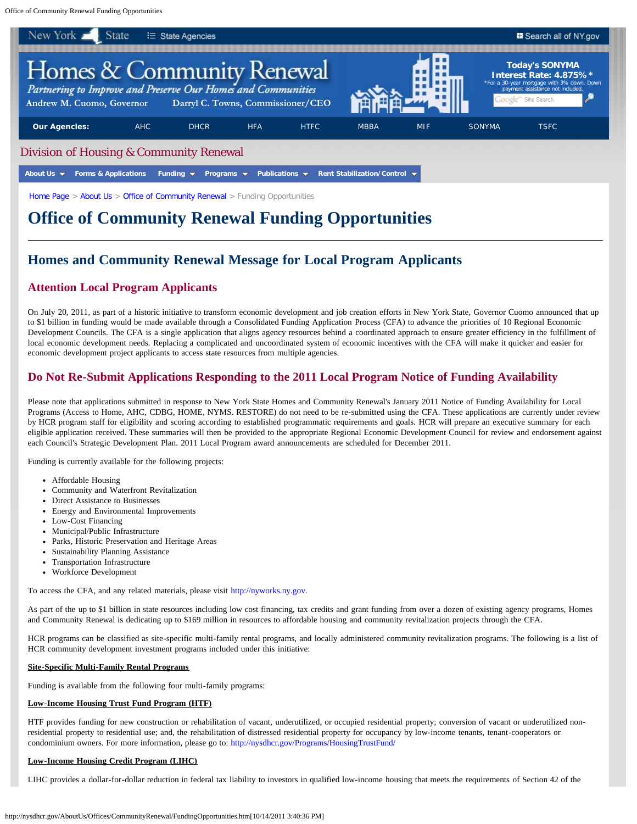Office of Community Renewal Funding Opportunities



[Home Page](http://nysdhcr.gov/index.htm) > [About Us](http://nysdhcr.gov/AboutUs/) > [Office of Community Renewal](http://nysdhcr.gov/AboutUs/Offices/CommunityRenewal/) > Funding Opportunities

# **Office of Community Renewal Funding Opportunities**

## **Homes and Community Renewal Message for Local Program Applicants**

## **Attention Local Program Applicants**

On July 20, 2011, as part of a historic initiative to transform economic development and job creation efforts in New York State, Governor Cuomo announced that up to \$1 billion in funding would be made available through a Consolidated Funding Application Process (CFA) to advance the priorities of 10 Regional Economic Development Councils. The CFA is a single application that aligns agency resources behind a coordinated approach to ensure greater efficiency in the fulfillment of local economic development needs. Replacing a complicated and uncoordinated system of economic incentives with the CFA will make it quicker and easier for economic development project applicants to access state resources from multiple agencies.

## **Do Not Re-Submit Applications Responding to the 2011 Local Program Notice of Funding Availability**

Please note that applications submitted in response to New York State Homes and Community Renewal's January 2011 Notice of Funding Availability for Local Programs (Access to Home, AHC, CDBG, HOME, NYMS. RESTORE) do not need to be re-submitted using the CFA. These applications are currently under review by HCR program staff for eligibility and scoring according to established programmatic requirements and goals. HCR will prepare an executive summary for each eligible application received. These summaries will then be provided to the appropriate Regional Economic Development Council for review and endorsement against each Council's Strategic Development Plan. 2011 Local Program award announcements are scheduled for December 2011.

Funding is currently available for the following projects:

- Affordable Housing
- Community and Waterfront Revitalization
- Direct Assistance to Businesses
- Energy and Environmental Improvements
- Low-Cost Financing
- Municipal/Public Infrastructure
- Parks, Historic Preservation and Heritage Areas
- Sustainability Planning Assistance
- Transportation Infrastructure
- Workforce Development

To access the CFA, and any related materials, please visit [http://nyworks.ny.gov.](http://nyworks.ny.gov/)

As part of the up to \$1 billion in state resources including low cost financing, tax credits and grant funding from over a dozen of existing agency programs, Homes and Community Renewal is dedicating up to \$169 million in resources to affordable housing and community revitalization projects through the CFA.

HCR programs can be classified as site-specific multi-family rental programs, and locally administered community revitalization programs. The following is a list of HCR community development investment programs included under this initiative:

## **Site-Specific Multi-Family Rental Programs**

Funding is available from the following four multi-family programs:

## **Low-Income Housing Trust Fund Program (HTF)**

HTF provides funding for new construction or rehabilitation of vacant, underutilized, or occupied residential property; conversion of vacant or underutilized nonresidential property to residential use; and, the rehabilitation of distressed residential property for occupancy by low-income tenants, tenant-cooperators or condominium owners. For more information, please go to: <http://nysdhcr.gov/Programs/HousingTrustFund/>

## **Low-Income Housing Credit Program (LIHC)**

LIHC provides a dollar-for-dollar reduction in federal tax liability to investors in qualified low-income housing that meets the requirements of Section 42 of the